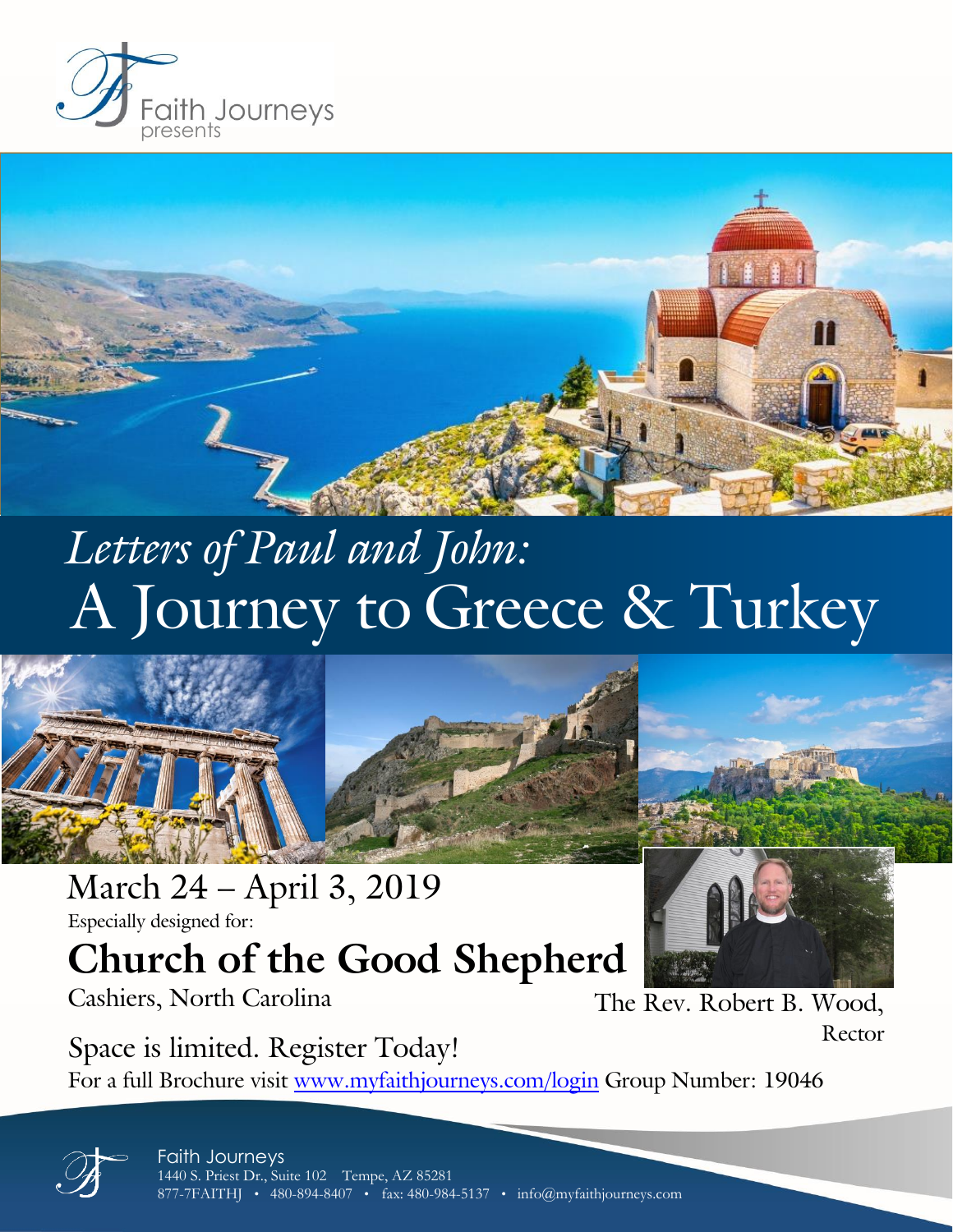



# A Journey to Greece & Turkey *Letters of Paul and John:*



March 24 – April 3, 2019 Especially designed for:

# **Church of the Good Shepherd**

Cashiers, North Carolina The Rev. Robert B. Wood,

Rector

Space is limited. Register Today! For a full Brochure visit [www.myfaithjourneys.com/login](http://www.myfaithjourneys.com/login) Group Number: 19046

> Faith Journeys 1440 S. Priest Dr., Suite 102 Tempe, AZ 85281 877-7FAITHJ • 480-894-8407 • fax: 480-984-5137 • info@myfaithjourneys.com